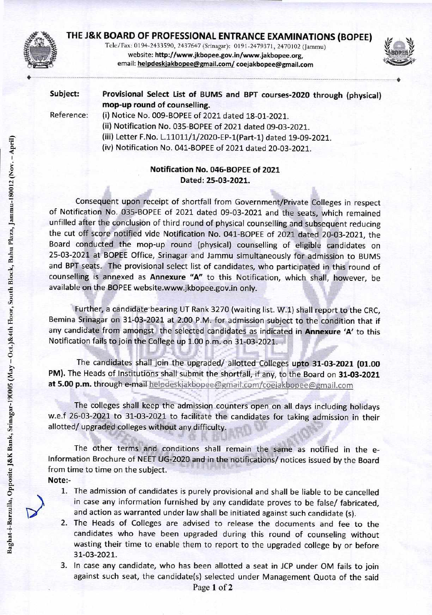

# **THE J&K BOARD OF PROFESSIONAL ENTRANCE EXAMINATIONS (BOPEE)**

Tele/Fax: 0194-2433590, 2437647 (Srinagar): 0191-2479371, 2470102 (Jammu) website: http://www.jkbopee.gov.in/www.jakbopee.org, email: helpdeskjakbopee@gmail.com/ coejakbopee@gmail.com



**Subject: Provisional Select List of BUMS and BPT courses-2020 through (physical) mop-up round of counselling.** 

Reference: (i) Notice No. 009-BOPEE of 2021 dated 18-01-2021. (ii) Notification No. 035-BOPEE of 2021 dated 09-03-2021. (iii) Letter F.No. L.11011/1/2020-EP-1(Part-1) dated 19-09-2021. (iv) Notification No. 041-BOPEE of 2021 dated 20-03-2021.

## **Notification No. 046-BOPEE of 2021 N Dated: 25-03-2021.**

Consequent upon receipt of shortfall from Government/Private Colleges in respect of Notification No. 035-BOPEE of 2021 dated 09-03-2021 and the seats, which remained unfilled after the conclusion of third round of physical counselling and subsequent reducing the cut off score notified vide Notification No. 041-BOPEE of 2021 dated 20-03-2021, the Board conducted the mop-up round (physical) counselling of eligible candidates on 25-03-2021 at BOPEE Office, Srinagar and Jammu simultaneously for admission to BUMS and BPT seats. The provisional select list of candidates, who participated in this round of counselling is annexed as **Annexure "A"** to this Notification, which shall, however, be available on the BOPEE website.www.jkbopee.gov.in only.

<sup>6</sup>- Further, a candidate bearing UT Rank 3270 (waiting list. W.1) shall report to the CRC, Bemina Srinagar on 31-03-2021 at 2.00 P.M. for admission subject to the condition that if any candidate from amongst the selected candidates as indicated in **Annexure 'A'** to this Notification fails to join the College up 1.00 p.m. on 31-03-2021.

The candidates shall join the upgraded/ allotted Colleges **upto 31-03-2021 (01.00 PM).** The Heads of Institutions shall submit the shortfall, if any, to the Board on **31-03-2021**  at 5.00 p.m. through e-mail helpdeskjakbopee@gmail.com/coejakbopee@gmail.com

The colleges shall keep the admission counters open on all days including holidays w.e.f 26-03-2021 to 31-03-2021 to facilitate the candidates for taking admission in their allotted/ upgraded colleges without any difficulty.

The other terms and conditions shall remain the same as notified in the Information Brochure of NEET UG-2020 and in the notifications/ notices issued by the Board from time to time on the subject. **Note:-** 

- 1. The admission of candidates is purely provisional and shall be liable to be cancelled in case any information furnished by any candidate proves to be false/ fabricated, and action as warranted under law shall be initiated against such candidate (s).
- 2. The Heads of Colleges are advised to release the documents and fee to the candidates who have been upgraded during this round of counseling without wasting their time to enable them to report to the upgraded college by or before 31-03-2021.
- 3. In case any candidate, who has been allotted a seat in JCP under OM fails to join against such seat, the candidate(s) selected under Management Quota of the said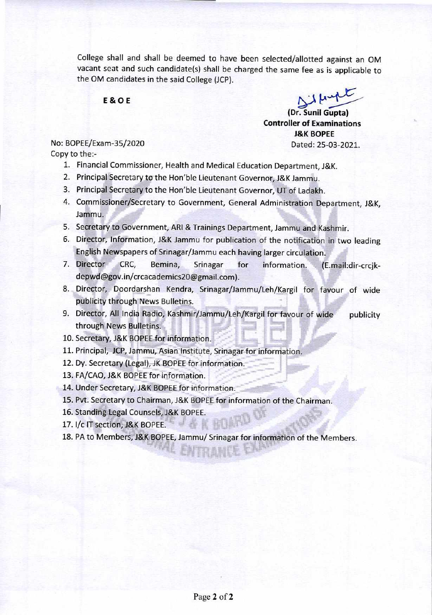College shall and shall be deemed to have been selected/allotted against an OM vacant seat and such candidate(s) shall be charged the same fee as is applicable to the OM candidates in the said College (JCP).

#### **E & 0 E**

**(Dr. Sunil Gupta) Controller of Examinations J&K BOPEE**  No: BOPEE/Exam-35/2020 Dated: 25-03-2021.

Copy to the:-

- 1. Financial Commissioner, Health and Medical Education Department, J&K.
- 2. Principal Secretary to the Hon'ble Lieutenant Governor, J&K Jammu.
- 3. Principal Secretary to the Hon'ble Lieutenant Governor, UT of Ladakh.
- 4. Commissioner/Secretary to Government, General Administration Department, J&K, Jammu.
- 5. Secretary to Government, ARI & Trainings Department, Jammu and Kashmir.
- 6. Director, Information, J&K Jammu for publication of the notification in two leading English Newspapers of Srinagar/Jammu each having larger circulation.
- 7. Director CRC, Bemina, Srinagar for information. (E.mail:dir-crcjkdepwd@gov.in/crcacademics20@gmail.com).
- 8. Director, Doordarshan Kendra, Srinagar/Jammu/Leh/Kargil for favour of wide publicity through News Bulletins.
- 9. Director, All India Radio, Kashmir/Jammu/Leh/Kargil for favour of wide publicity through News Bulletins.
- 10. Secretary, J&K BOPEE for information.
- 11. Principal, JCP, Jammu, Asian Institute, Srinagar for information.
- 12. Dy. Secretary (Legal), JK BOPEE for information.
- 13. FA/CAO, J&K BOPEE for information.
- 14. Under Secretary, J&K BOPEE for information.
- 15. Pvt. Secretary to Chairman, J&K BOPEE for information of the Chairman.
- 16. Standing Legal Counsels, J&K BOPEE.
- 17. I/c IT section, J&K BOPEE.
- 18. PA to Members, J&K BOPEE, Jammu/ Srinagar for information of the Members. LAFTER ALMITTLE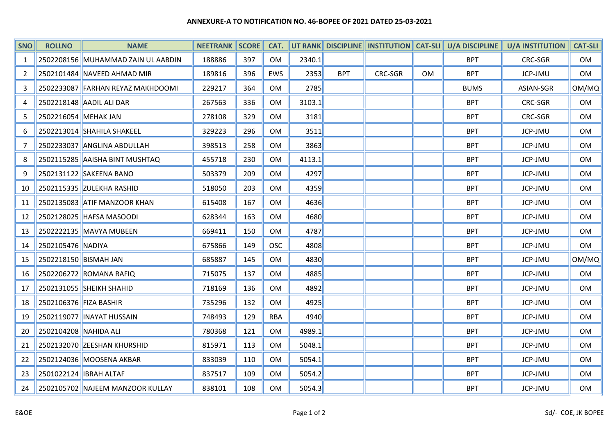#### ANNEXURE-A TO NOTIFICATION NO. 46-BOPEE OF 2021 DATED 25-03-2021

| <b>SNO</b>     | <b>ROLLNO</b>           | <b>NAME</b>                        | <b>NEETRANK SCORE</b> |     | CAT.           |        |            |         |           | UT RANK DISCIPLINE    INSTITUTION CAT-SLI    U/A DISCIPLINE | <b>U/A INSTITUTION</b> | <b>CAT-SLI</b> |
|----------------|-------------------------|------------------------------------|-----------------------|-----|----------------|--------|------------|---------|-----------|-------------------------------------------------------------|------------------------|----------------|
| 1              |                         | 2502208156 MUHAMMAD ZAIN UL AABDIN | 188886                | 397 | OM             | 2340.1 |            |         |           | <b>BPT</b>                                                  | <b>CRC-SGR</b>         | OM             |
| $\overline{2}$ |                         | 2502101484 NAVEED AHMAD MIR        | 189816                | 396 | EWS            | 2353   | <b>BPT</b> | CRC-SGR | <b>OM</b> | <b>BPT</b>                                                  | JCP-JMU                | OM             |
| 3              |                         | 2502233087 FARHAN REYAZ MAKHDOOMI  | 229217                | 364 | <b>OM</b>      | 2785   |            |         |           | <b>BUMS</b>                                                 | ASIAN-SGR              | OM/MQ          |
| 4              |                         | 2502218148 AADIL ALI DAR           | 267563                | 336 | <b>OM</b>      | 3103.1 |            |         |           | <b>BPT</b>                                                  | CRC-SGR                | OM             |
| 5              | 2502216054 MEHAK JAN    |                                    | 278108                | 329 | 0 <sub>M</sub> | 3181   |            |         |           | <b>BPT</b>                                                  | <b>CRC-SGR</b>         | <b>OM</b>      |
| 6              |                         | 2502213014 SHAHILA SHAKEEL         | 329223                | 296 | 0M             | 3511   |            |         |           | <b>BPT</b>                                                  | JCP-JMU                | <b>OM</b>      |
| 7              |                         | 2502233037 ANGLINA ABDULLAH        | 398513                | 258 | <b>OM</b>      | 3863   |            |         |           | <b>BPT</b>                                                  | JCP-JMU                | OM             |
| 8              |                         | 2502115285 AAISHA BINT MUSHTAQ     | 455718                | 230 | <b>OM</b>      | 4113.1 |            |         |           | <b>BPT</b>                                                  | JCP-JMU                | <b>OM</b>      |
| 9              |                         | 2502131122 SAKEENA BANO            | 503379                | 209 | 0M             | 4297   |            |         |           | <b>BPT</b>                                                  | JCP-JMU                | <b>OM</b>      |
| 10             |                         | 2502115335 ZULEKHA RASHID          | 518050                | 203 | 0M             | 4359   |            |         |           | <b>BPT</b>                                                  | JCP-JMU                | OM             |
| 11             |                         | 2502135083 ATIF MANZOOR KHAN       | 615408                | 167 | <b>OM</b>      | 4636   |            |         |           | <b>BPT</b>                                                  | JCP-JMU                | OM             |
| 12             |                         | 2502128025 HAFSA MASOODI           | 628344                | 163 | 0 <sub>M</sub> | 4680   |            |         |           | <b>BPT</b>                                                  | JCP-JMU                | <b>OM</b>      |
| 13             |                         | 2502222135 MAVYA MUBEEN            | 669411                | 150 | <b>OM</b>      | 4787   |            |         |           | <b>BPT</b>                                                  | JCP-JMU                | OM             |
| 14             | 2502105476 NADIYA       |                                    | 675866                | 149 | <b>OSC</b>     | 4808   |            |         |           | <b>BPT</b>                                                  | JCP-JMU                | OM             |
| 15             | 2502218150 BISMAH JAN   |                                    | 685887                | 145 | <b>OM</b>      | 4830   |            |         |           | <b>BPT</b>                                                  | JCP-JMU                | OM/MQ          |
| 16             |                         | 2502206272 ROMANA RAFIQ            | 715075                | 137 | 0M             | 4885   |            |         |           | <b>BPT</b>                                                  | JCP-JMU                | OM             |
| 17             |                         | 2502131055 SHEIKH SHAHID           | 718169                | 136 | <b>OM</b>      | 4892   |            |         |           | <b>BPT</b>                                                  | JCP-JMU                | OM             |
| 18             | 2502106376 FIZA BASHIR  |                                    | 735296                | 132 | 0 <sub>M</sub> | 4925   |            |         |           | <b>BPT</b>                                                  | JCP-JMU                | <b>OM</b>      |
| 19             |                         | 2502119077   INAYAT HUSSAIN        | 748493                | 129 | <b>RBA</b>     | 4940   |            |         |           | <b>BPT</b>                                                  | JCP-JMU                | OM             |
| 20             | 2502104208 NAHIDA ALI   |                                    | 780368                | 121 | <b>OM</b>      | 4989.1 |            |         |           | <b>BPT</b>                                                  | JCP-JMU                | OM             |
| 21             |                         | 2502132070 ZEESHAN KHURSHID        | 815971                | 113 | <b>OM</b>      | 5048.1 |            |         |           | <b>BPT</b>                                                  | JCP-JMU                | OM             |
| 22             |                         | 2502124036 MOOSENA AKBAR           | 833039                | 110 | OM             | 5054.1 |            |         |           | <b>BPT</b>                                                  | JCP-JMU                | OM             |
| 23             | 2501022124  IBRAH ALTAF |                                    | 837517                | 109 | <b>OM</b>      | 5054.2 |            |         |           | <b>BPT</b>                                                  | JCP-JMU                | <b>OM</b>      |
| 24             |                         | 2502105702 NAJEEM MANZOOR KULLAY   | 838101                | 108 | OM             | 5054.3 |            |         |           | <b>BPT</b>                                                  | JCP-JMU                | OM             |